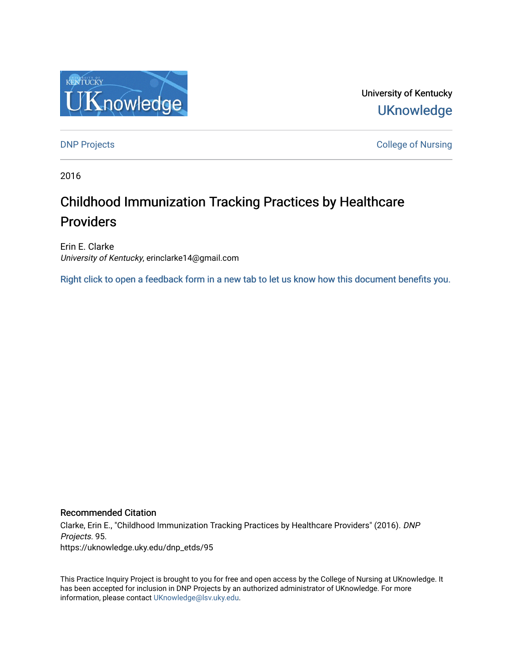

University of Kentucky **UKnowledge** 

**DNP Projects** College of Nursing

2016

# Childhood Immunization Tracking Practices by Healthcare Providers

Erin E. Clarke University of Kentucky, erinclarke14@gmail.com

[Right click to open a feedback form in a new tab to let us know how this document benefits you.](https://uky.az1.qualtrics.com/jfe/form/SV_9mq8fx2GnONRfz7)

### Recommended Citation

Clarke, Erin E., "Childhood Immunization Tracking Practices by Healthcare Providers" (2016). DNP Projects. 95. https://uknowledge.uky.edu/dnp\_etds/95

This Practice Inquiry Project is brought to you for free and open access by the College of Nursing at UKnowledge. It has been accepted for inclusion in DNP Projects by an authorized administrator of UKnowledge. For more information, please contact [UKnowledge@lsv.uky.edu](mailto:UKnowledge@lsv.uky.edu).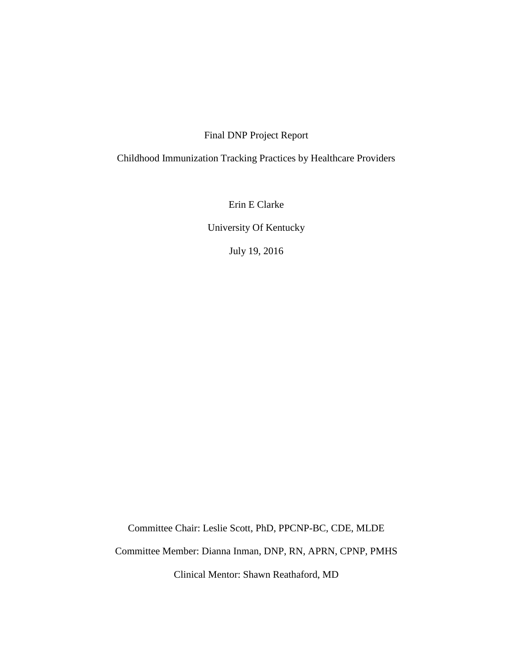### Final DNP Project Report

# Childhood Immunization Tracking Practices by Healthcare Providers

Erin E Clarke

University Of Kentucky

July 19, 2016

Committee Chair: Leslie Scott, PhD, PPCNP-BC, CDE, MLDE

Committee Member: Dianna Inman, DNP, RN, APRN, CPNP, PMHS

Clinical Mentor: Shawn Reathaford, MD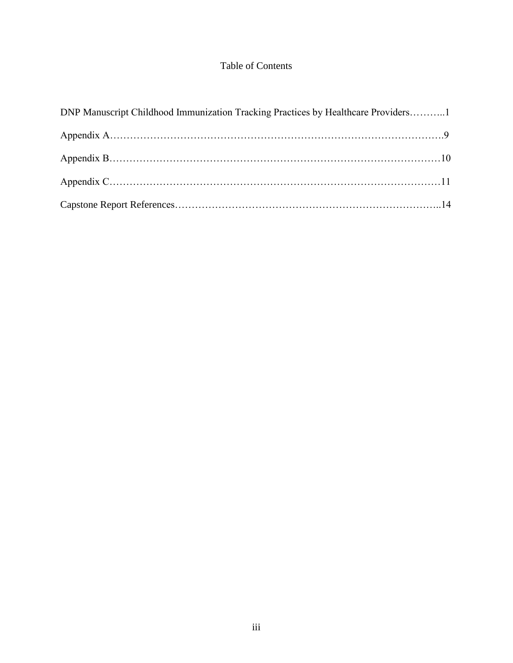## Table of Contents

| DNP Manuscript Childhood Immunization Tracking Practices by Healthcare Providers1 |  |
|-----------------------------------------------------------------------------------|--|
|                                                                                   |  |
|                                                                                   |  |
|                                                                                   |  |
|                                                                                   |  |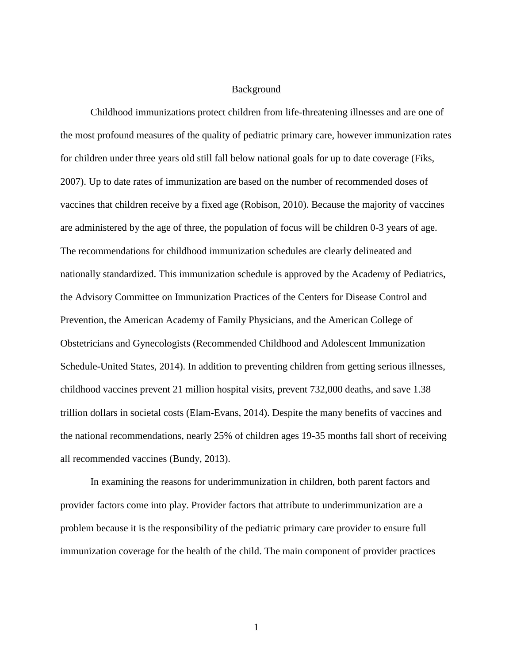### Background

Childhood immunizations protect children from life-threatening illnesses and are one of the most profound measures of the quality of pediatric primary care, however immunization rates for children under three years old still fall below national goals for up to date coverage (Fiks, 2007). Up to date rates of immunization are based on the number of recommended doses of vaccines that children receive by a fixed age (Robison, 2010). Because the majority of vaccines are administered by the age of three, the population of focus will be children 0-3 years of age. The recommendations for childhood immunization schedules are clearly delineated and nationally standardized. This immunization schedule is approved by the Academy of Pediatrics, the Advisory Committee on Immunization Practices of the Centers for Disease Control and Prevention, the American Academy of Family Physicians, and the American College of Obstetricians and Gynecologists (Recommended Childhood and Adolescent Immunization Schedule-United States, 2014). In addition to preventing children from getting serious illnesses, childhood vaccines prevent 21 million hospital visits, prevent 732,000 deaths, and save 1.38 trillion dollars in societal costs (Elam-Evans, 2014). Despite the many benefits of vaccines and the national recommendations, nearly 25% of children ages 19-35 months fall short of receiving all recommended vaccines (Bundy, 2013).

In examining the reasons for underimmunization in children, both parent factors and provider factors come into play. Provider factors that attribute to underimmunization are a problem because it is the responsibility of the pediatric primary care provider to ensure full immunization coverage for the health of the child. The main component of provider practices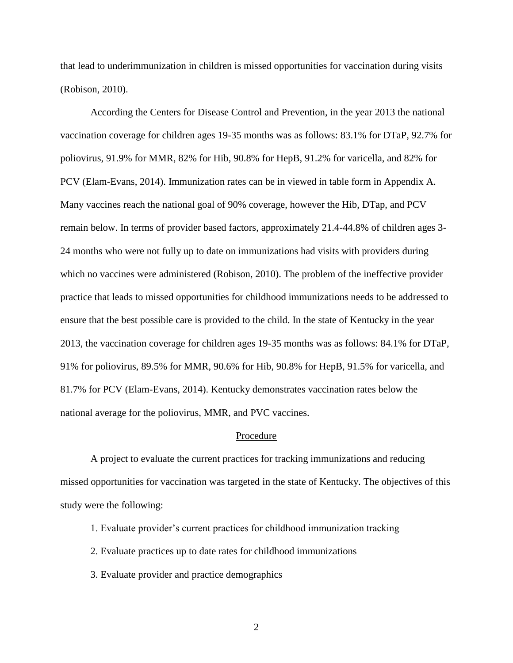that lead to underimmunization in children is missed opportunities for vaccination during visits (Robison, 2010).

According the Centers for Disease Control and Prevention, in the year 2013 the national vaccination coverage for children ages 19-35 months was as follows: 83.1% for DTaP, 92.7% for poliovirus, 91.9% for MMR, 82% for Hib, 90.8% for HepB, 91.2% for varicella, and 82% for PCV (Elam-Evans, 2014). Immunization rates can be in viewed in table form in Appendix A. Many vaccines reach the national goal of 90% coverage, however the Hib, DTap, and PCV remain below. In terms of provider based factors, approximately 21.4-44.8% of children ages 3- 24 months who were not fully up to date on immunizations had visits with providers during which no vaccines were administered (Robison, 2010). The problem of the ineffective provider practice that leads to missed opportunities for childhood immunizations needs to be addressed to ensure that the best possible care is provided to the child. In the state of Kentucky in the year 2013, the vaccination coverage for children ages 19-35 months was as follows: 84.1% for DTaP, 91% for poliovirus, 89.5% for MMR, 90.6% for Hib, 90.8% for HepB, 91.5% for varicella, and 81.7% for PCV (Elam-Evans, 2014). Kentucky demonstrates vaccination rates below the national average for the poliovirus, MMR, and PVC vaccines.

#### Procedure

A project to evaluate the current practices for tracking immunizations and reducing missed opportunities for vaccination was targeted in the state of Kentucky. The objectives of this study were the following:

- 1. Evaluate provider's current practices for childhood immunization tracking
- 2. Evaluate practices up to date rates for childhood immunizations
- 3. Evaluate provider and practice demographics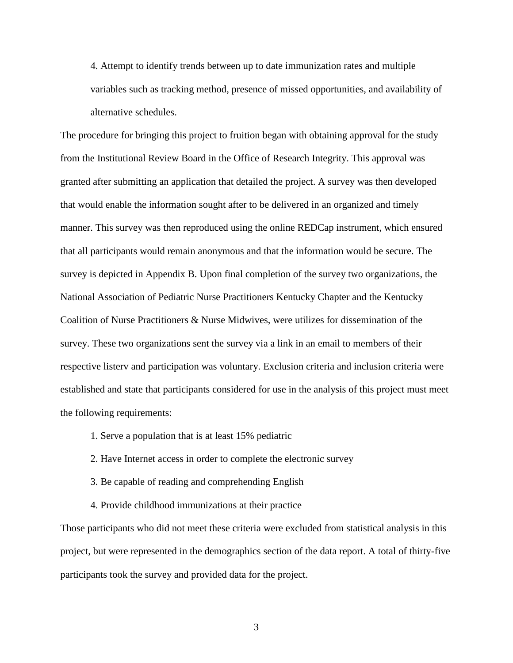4. Attempt to identify trends between up to date immunization rates and multiple variables such as tracking method, presence of missed opportunities, and availability of alternative schedules.

The procedure for bringing this project to fruition began with obtaining approval for the study from the Institutional Review Board in the Office of Research Integrity. This approval was granted after submitting an application that detailed the project. A survey was then developed that would enable the information sought after to be delivered in an organized and timely manner. This survey was then reproduced using the online REDCap instrument, which ensured that all participants would remain anonymous and that the information would be secure. The survey is depicted in Appendix B. Upon final completion of the survey two organizations, the National Association of Pediatric Nurse Practitioners Kentucky Chapter and the Kentucky Coalition of Nurse Practitioners & Nurse Midwives, were utilizes for dissemination of the survey. These two organizations sent the survey via a link in an email to members of their respective listerv and participation was voluntary. Exclusion criteria and inclusion criteria were established and state that participants considered for use in the analysis of this project must meet the following requirements:

- 1. Serve a population that is at least 15% pediatric
- 2. Have Internet access in order to complete the electronic survey
- 3. Be capable of reading and comprehending English
- 4. Provide childhood immunizations at their practice

Those participants who did not meet these criteria were excluded from statistical analysis in this project, but were represented in the demographics section of the data report. A total of thirty-five participants took the survey and provided data for the project.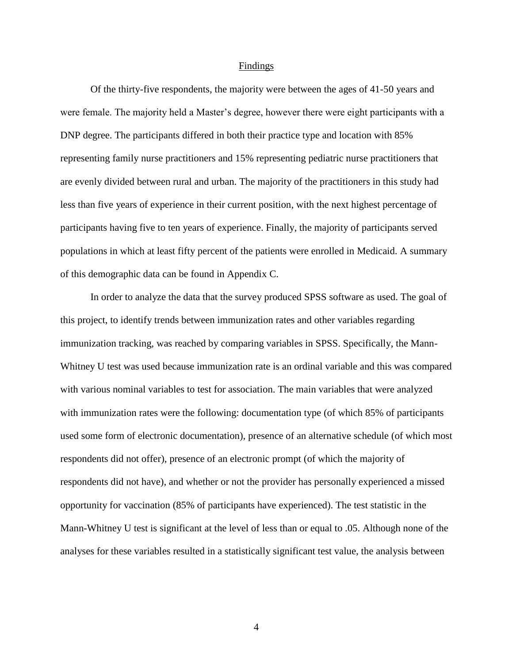#### Findings

Of the thirty-five respondents, the majority were between the ages of 41-50 years and were female. The majority held a Master's degree, however there were eight participants with a DNP degree. The participants differed in both their practice type and location with 85% representing family nurse practitioners and 15% representing pediatric nurse practitioners that are evenly divided between rural and urban. The majority of the practitioners in this study had less than five years of experience in their current position, with the next highest percentage of participants having five to ten years of experience. Finally, the majority of participants served populations in which at least fifty percent of the patients were enrolled in Medicaid. A summary of this demographic data can be found in Appendix C.

In order to analyze the data that the survey produced SPSS software as used. The goal of this project, to identify trends between immunization rates and other variables regarding immunization tracking, was reached by comparing variables in SPSS. Specifically, the Mann-Whitney U test was used because immunization rate is an ordinal variable and this was compared with various nominal variables to test for association. The main variables that were analyzed with immunization rates were the following: documentation type (of which 85% of participants used some form of electronic documentation), presence of an alternative schedule (of which most respondents did not offer), presence of an electronic prompt (of which the majority of respondents did not have), and whether or not the provider has personally experienced a missed opportunity for vaccination (85% of participants have experienced). The test statistic in the Mann-Whitney U test is significant at the level of less than or equal to .05. Although none of the analyses for these variables resulted in a statistically significant test value, the analysis between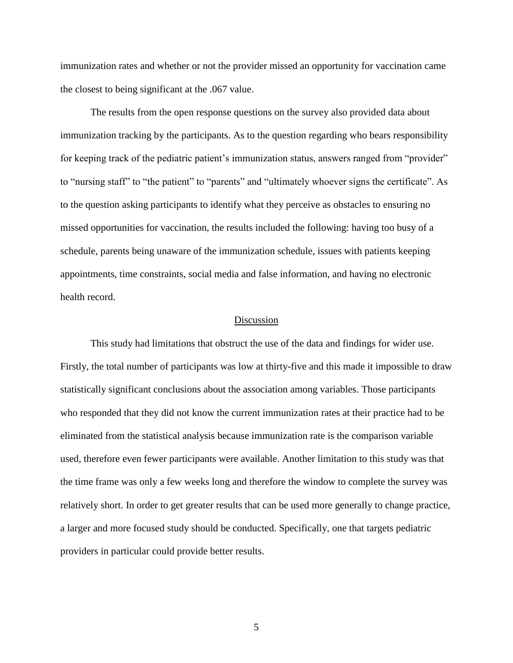immunization rates and whether or not the provider missed an opportunity for vaccination came the closest to being significant at the .067 value.

The results from the open response questions on the survey also provided data about immunization tracking by the participants. As to the question regarding who bears responsibility for keeping track of the pediatric patient's immunization status, answers ranged from "provider" to "nursing staff" to "the patient" to "parents" and "ultimately whoever signs the certificate". As to the question asking participants to identify what they perceive as obstacles to ensuring no missed opportunities for vaccination, the results included the following: having too busy of a schedule, parents being unaware of the immunization schedule, issues with patients keeping appointments, time constraints, social media and false information, and having no electronic health record.

#### Discussion

This study had limitations that obstruct the use of the data and findings for wider use. Firstly, the total number of participants was low at thirty-five and this made it impossible to draw statistically significant conclusions about the association among variables. Those participants who responded that they did not know the current immunization rates at their practice had to be eliminated from the statistical analysis because immunization rate is the comparison variable used, therefore even fewer participants were available. Another limitation to this study was that the time frame was only a few weeks long and therefore the window to complete the survey was relatively short. In order to get greater results that can be used more generally to change practice, a larger and more focused study should be conducted. Specifically, one that targets pediatric providers in particular could provide better results.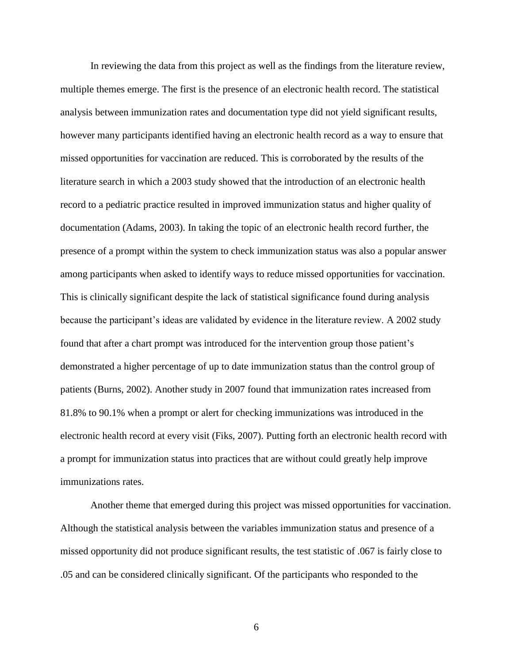In reviewing the data from this project as well as the findings from the literature review, multiple themes emerge. The first is the presence of an electronic health record. The statistical analysis between immunization rates and documentation type did not yield significant results, however many participants identified having an electronic health record as a way to ensure that missed opportunities for vaccination are reduced. This is corroborated by the results of the literature search in which a 2003 study showed that the introduction of an electronic health record to a pediatric practice resulted in improved immunization status and higher quality of documentation (Adams, 2003). In taking the topic of an electronic health record further, the presence of a prompt within the system to check immunization status was also a popular answer among participants when asked to identify ways to reduce missed opportunities for vaccination. This is clinically significant despite the lack of statistical significance found during analysis because the participant's ideas are validated by evidence in the literature review. A 2002 study found that after a chart prompt was introduced for the intervention group those patient's demonstrated a higher percentage of up to date immunization status than the control group of patients (Burns, 2002). Another study in 2007 found that immunization rates increased from 81.8% to 90.1% when a prompt or alert for checking immunizations was introduced in the electronic health record at every visit (Fiks, 2007). Putting forth an electronic health record with a prompt for immunization status into practices that are without could greatly help improve immunizations rates.

Another theme that emerged during this project was missed opportunities for vaccination. Although the statistical analysis between the variables immunization status and presence of a missed opportunity did not produce significant results, the test statistic of .067 is fairly close to .05 and can be considered clinically significant. Of the participants who responded to the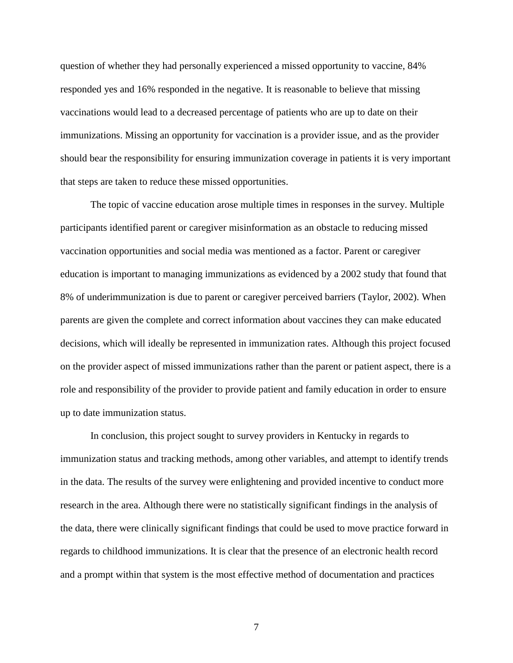question of whether they had personally experienced a missed opportunity to vaccine, 84% responded yes and 16% responded in the negative. It is reasonable to believe that missing vaccinations would lead to a decreased percentage of patients who are up to date on their immunizations. Missing an opportunity for vaccination is a provider issue, and as the provider should bear the responsibility for ensuring immunization coverage in patients it is very important that steps are taken to reduce these missed opportunities.

The topic of vaccine education arose multiple times in responses in the survey. Multiple participants identified parent or caregiver misinformation as an obstacle to reducing missed vaccination opportunities and social media was mentioned as a factor. Parent or caregiver education is important to managing immunizations as evidenced by a 2002 study that found that 8% of underimmunization is due to parent or caregiver perceived barriers (Taylor, 2002). When parents are given the complete and correct information about vaccines they can make educated decisions, which will ideally be represented in immunization rates. Although this project focused on the provider aspect of missed immunizations rather than the parent or patient aspect, there is a role and responsibility of the provider to provide patient and family education in order to ensure up to date immunization status.

In conclusion, this project sought to survey providers in Kentucky in regards to immunization status and tracking methods, among other variables, and attempt to identify trends in the data. The results of the survey were enlightening and provided incentive to conduct more research in the area. Although there were no statistically significant findings in the analysis of the data, there were clinically significant findings that could be used to move practice forward in regards to childhood immunizations. It is clear that the presence of an electronic health record and a prompt within that system is the most effective method of documentation and practices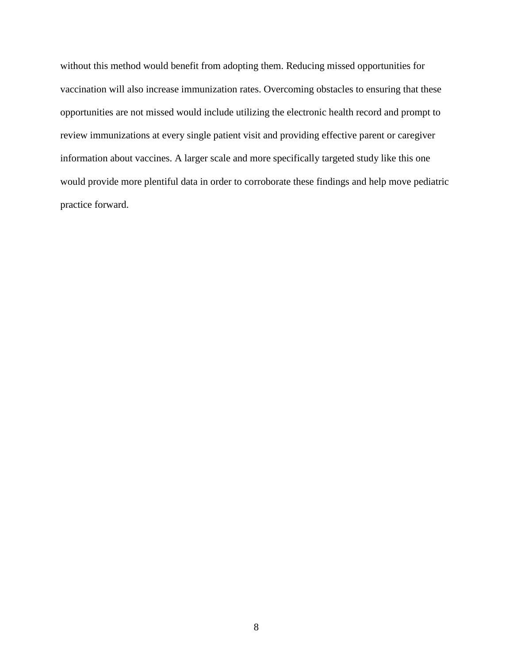without this method would benefit from adopting them. Reducing missed opportunities for vaccination will also increase immunization rates. Overcoming obstacles to ensuring that these opportunities are not missed would include utilizing the electronic health record and prompt to review immunizations at every single patient visit and providing effective parent or caregiver information about vaccines. A larger scale and more specifically targeted study like this one would provide more plentiful data in order to corroborate these findings and help move pediatric practice forward.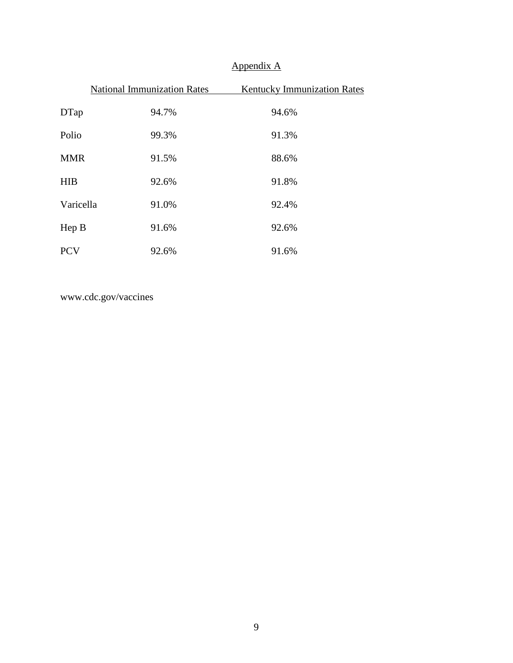# Appendix A

|            | <b>National Immunization Rates</b> | <b>Kentucky Immunization Rates</b> |
|------------|------------------------------------|------------------------------------|
| DTap       | 94.7%                              | 94.6%                              |
| Polio      | 99.3%                              | 91.3%                              |
| <b>MMR</b> | 91.5%                              | 88.6%                              |
| <b>HIB</b> | 92.6%                              | 91.8%                              |
| Varicella  | 91.0%                              | 92.4%                              |
| Hep B      | 91.6%                              | 92.6%                              |
| <b>PCV</b> | 92.6%                              | 91.6%                              |

www.cdc.gov/vaccines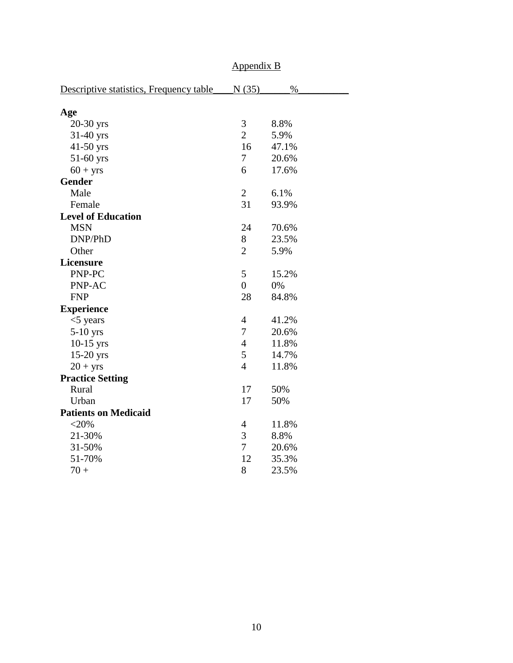|                                         | $\frac{1}{2}$  |       |  |
|-----------------------------------------|----------------|-------|--|
| Descriptive statistics, Frequency table | N(35)          | $\%$  |  |
| Age                                     |                |       |  |
| 20-30 yrs                               | 3              | 8.8%  |  |
| $31-40$ yrs                             | $\overline{2}$ | 5.9%  |  |
| $41-50$ yrs                             | 16             | 47.1% |  |
| 51-60 yrs                               | 7              | 20.6% |  |
| $60 + yrs$                              | 6              | 17.6% |  |
| <b>Gender</b>                           |                |       |  |
| Male                                    | $\overline{2}$ | 6.1%  |  |
| Female                                  | 31             | 93.9% |  |
| <b>Level of Education</b>               |                |       |  |
| <b>MSN</b>                              | 24             | 70.6% |  |
| DNP/PhD                                 | 8              | 23.5% |  |
| Other                                   | $\overline{2}$ | 5.9%  |  |
| Licensure                               |                |       |  |
| PNP-PC                                  | 5              | 15.2% |  |
| PNP-AC                                  | $\overline{0}$ | 0%    |  |
| <b>FNP</b>                              | 28             | 84.8% |  |
| <b>Experience</b>                       |                |       |  |
| $<$ 5 years                             | 4              | 41.2% |  |
| 5-10 yrs                                | 7              | 20.6% |  |
| $10-15$ yrs                             | $\overline{4}$ | 11.8% |  |
| $15-20$ yrs                             | 5              | 14.7% |  |
| $20 + yrs$                              | $\overline{4}$ | 11.8% |  |
| <b>Practice Setting</b>                 |                |       |  |
| Rural                                   | 17             | 50%   |  |
| Urban                                   | 17             | 50%   |  |
| <b>Patients on Medicaid</b>             |                |       |  |
| $<$ 20%                                 | 4              | 11.8% |  |
| 21-30%                                  | 3              | 8.8%  |  |
| 31-50%                                  | 7              | 20.6% |  |
| 51-70%                                  | 12             | 35.3% |  |
| $70 +$                                  | 8              | 23.5% |  |

# Appendix B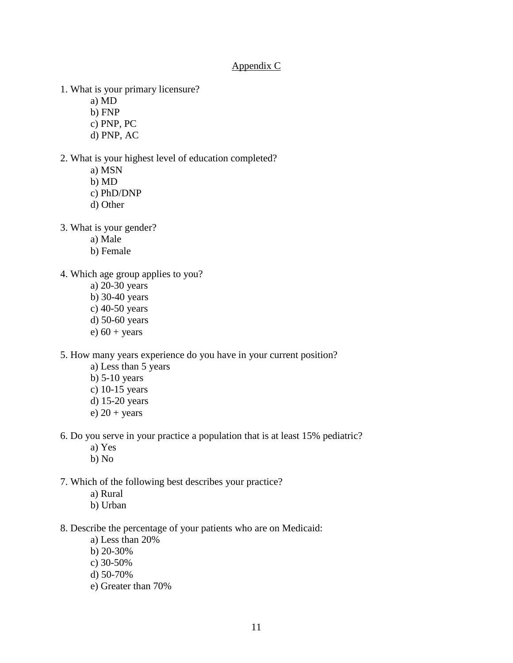### Appendix C

- 1. What is your primary licensure?
	- a) MD
	- b) FNP
	- c) PNP, PC
	- d) PNP, AC
- 2. What is your highest level of education completed?
	- a) MSN
	- b) MD
	- c) PhD/DNP
	- d) Other
- 3. What is your gender?
	- a) Male
	- b) Female
- 4. Which age group applies to you?
	- a) 20-30 years
	- b) 30-40 years
	- c) 40-50 years
	- d) 50-60 years
	- e)  $60 + \text{years}$
- 5. How many years experience do you have in your current position?
	- a) Less than 5 years
	- b) 5-10 years
	- c) 10-15 years
	- d) 15-20 years
	- e)  $20 + \text{years}$
- 6. Do you serve in your practice a population that is at least 15% pediatric?
	- a) Yes
	- b) No
- 7. Which of the following best describes your practice?
	- a) Rural
	- b) Urban
- 8. Describe the percentage of your patients who are on Medicaid:
	- a) Less than 20%
	- b) 20-30%
	- c) 30-50%
	- d) 50-70%
	- e) Greater than 70%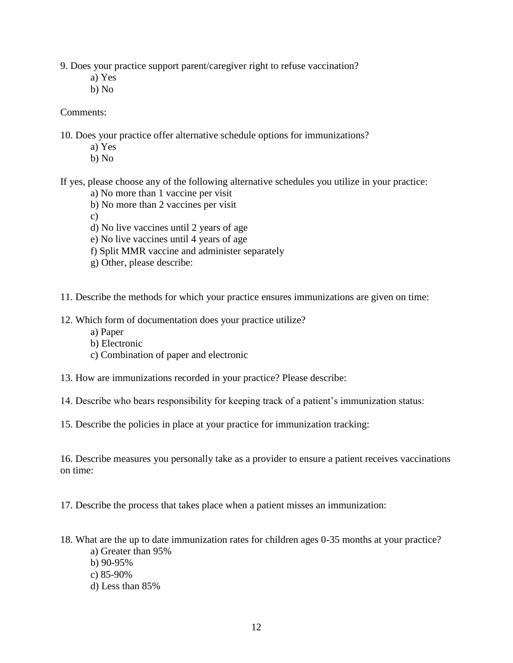9. Does your practice support parent/caregiver right to refuse vaccination?

- a) Yes
- b) No

### Comments:

10. Does your practice offer alternative schedule options for immunizations?

- a) Yes
- b) No

If yes, please choose any of the following alternative schedules you utilize in your practice:

- a) No more than 1 vaccine per visit
- b) No more than 2 vaccines per visit
- c)
- d) No live vaccines until 2 years of age
- e) No live vaccines until 4 years of age
- f) Split MMR vaccine and administer separately
- g) Other, please describe:
- 11. Describe the methods for which your practice ensures immunizations are given on time:
- 12. Which form of documentation does your practice utilize?
	- a) Paper
	- b) Electronic
	- c) Combination of paper and electronic
- 13. How are immunizations recorded in your practice? Please describe:
- 14. Describe who bears responsibility for keeping track of a patient's immunization status:
- 15. Describe the policies in place at your practice for immunization tracking:

16. Describe measures you personally take as a provider to ensure a patient receives vaccinations on time:

17. Describe the process that takes place when a patient misses an immunization:

- 18. What are the up to date immunization rates for children ages 0-35 months at your practice?
	- a) Greater than 95%
	- b) 90-95%
	- c) 85-90%
	- d) Less than 85%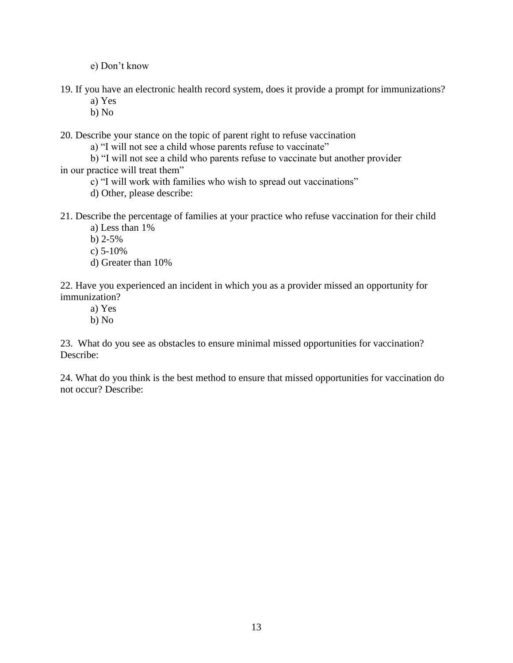e) Don't know

19. If you have an electronic health record system, does it provide a prompt for immunizations?

- a) Yes
- b) No

20. Describe your stance on the topic of parent right to refuse vaccination

a) "I will not see a child whose parents refuse to vaccinate"

b) "I will not see a child who parents refuse to vaccinate but another provider in our practice will treat them"

c) "I will work with families who wish to spread out vaccinations"

d) Other, please describe:

21. Describe the percentage of families at your practice who refuse vaccination for their child a) Less than 1%

b)  $2-5%$ 

- c) 5-10%
- d) Greater than 10%

22. Have you experienced an incident in which you as a provider missed an opportunity for immunization?

- a) Yes
- b) No

23. What do you see as obstacles to ensure minimal missed opportunities for vaccination? Describe:

24. What do you think is the best method to ensure that missed opportunities for vaccination do not occur? Describe: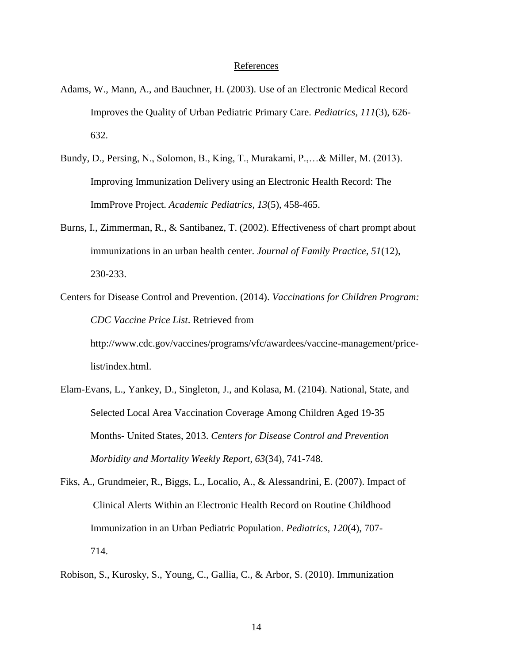#### References

- Adams, W., Mann, A., and Bauchner, H. (2003). Use of an Electronic Medical Record Improves the Quality of Urban Pediatric Primary Care. *Pediatrics, 111*(3), 626- 632.
- Bundy, D., Persing, N., Solomon, B., King, T., Murakami, P.,…& Miller, M. (2013). Improving Immunization Delivery using an Electronic Health Record: The ImmProve Project. *Academic Pediatrics, 13*(5), 458-465.
- Burns, I., Zimmerman, R., & Santibanez, T. (2002). Effectiveness of chart prompt about immunizations in an urban health center. *Journal of Family Practice, 51*(12), 230-233.
- Centers for Disease Control and Prevention. (2014). *Vaccinations for Children Program: CDC Vaccine Price List*. Retrieved from http://www.cdc.gov/vaccines/programs/vfc/awardees/vaccine-management/pricelist/index.html.
- Elam-Evans, L., Yankey, D., Singleton, J., and Kolasa, M. (2104). National, State, and Selected Local Area Vaccination Coverage Among Children Aged 19-35 Months- United States, 2013. *Centers for Disease Control and Prevention Morbidity and Mortality Weekly Report, 63*(34), 741-748.
- Fiks, A., Grundmeier, R., Biggs, L., Localio, A., & Alessandrini, E. (2007). Impact of Clinical Alerts Within an Electronic Health Record on Routine Childhood Immunization in an Urban Pediatric Population. *Pediatrics, 120*(4), 707- 714.
- Robison, S., Kurosky, S., Young, C., Gallia, C., & Arbor, S. (2010). Immunization